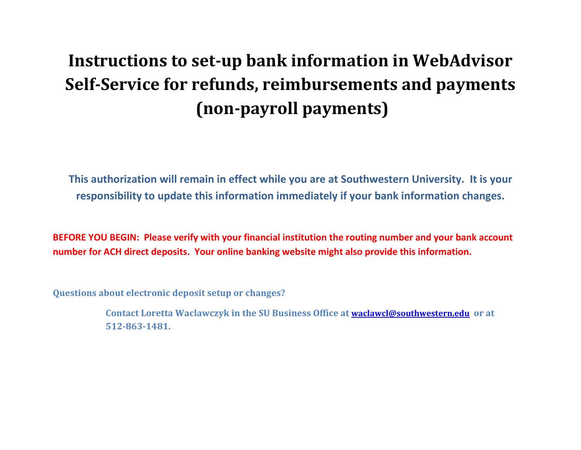## **Instructions to set-up bank information in WebAdvisor Self-Service for refunds, reimbursements and payments (non-payroll payments)**

**This authorization will remain in effect while you are at Southwestern University. It is your responsibility to update this information immediately if your bank information changes.**

**BEFORE YOU BEGIN: Please verify with your financial institution the routing number and your bank account number for ACH direct deposits. Your online banking website might also provide this information.**

**Questions about electronic deposit setup or changes?** 

**Contact Loretta Waclawczyk in the SU Business Office at [waclawcl@southwestern.edu](mailto:waclawcl@southwestern.edu) or at 512-863-1481.**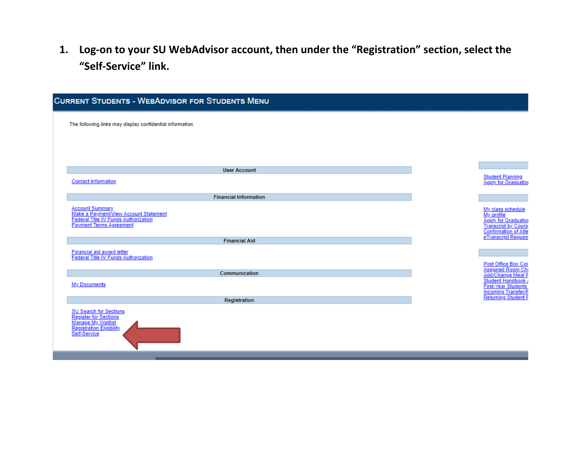**1. Log-on to your SU WebAdvisor account, then under the "Registration" section, select the "Self-Service" link.** 

| <b>CURRENT STUDENTS - WEBADVISOR FOR STUDENTS MENU</b>                                                                                    |                                                                                                                                             |
|-------------------------------------------------------------------------------------------------------------------------------------------|---------------------------------------------------------------------------------------------------------------------------------------------|
| The following links may display confidential information.                                                                                 |                                                                                                                                             |
|                                                                                                                                           |                                                                                                                                             |
|                                                                                                                                           |                                                                                                                                             |
| <b>User Account</b>                                                                                                                       |                                                                                                                                             |
| <b>Contact Information</b>                                                                                                                | <b>Student Planning</b><br><b>Apply for Graduation</b>                                                                                      |
| <b>Financial Information</b>                                                                                                              |                                                                                                                                             |
| <b>Account Summary</b><br>Make a Payment/View Account Statement<br>Federal Title IV Funds Authorization<br><b>Payment Terms Agreement</b> | My class schedule<br>My profile<br><b>Apply for Graduation</b><br><b>Transcript by Cours</b><br>Confirmation of Atte<br>eTranscript Request |
| <b>Financial Aid</b>                                                                                                                      |                                                                                                                                             |
| <b>Financial aid award letter</b><br><b>Federal Title IV Funds Authorization</b>                                                          | Post Office Box Cor                                                                                                                         |
|                                                                                                                                           | Assigned Room Ch                                                                                                                            |
| Communication                                                                                                                             | Add/Change Meal F                                                                                                                           |
| <b>My Documents</b>                                                                                                                       | Student Handbook<br><b>First-Year Students</b><br><b>Incoming Transfer/F</b>                                                                |
| Registration                                                                                                                              | <b>Returning Student F</b>                                                                                                                  |
| <b>SU Search for Sections</b><br><b>Register for Sections</b><br>Manage My Waitlist<br>Registration Eligibility<br>Self-Service           |                                                                                                                                             |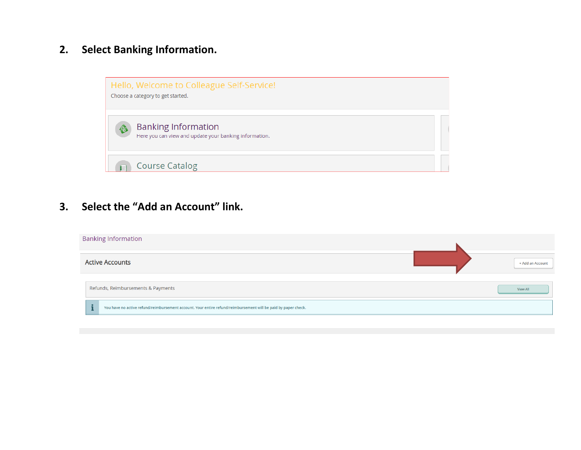## **2. Select Banking Information.**



**3. Select the "Add an Account" link.**

| <b>Banking Information</b>                                                                                     |                  |
|----------------------------------------------------------------------------------------------------------------|------------------|
| <b>Active Accounts</b>                                                                                         | + Add an Account |
| Refunds, Reimbursements & Payments                                                                             | View All         |
| You have no active refund/reimbursement account. Your entire refund/reimbursement will be paid by paper check. |                  |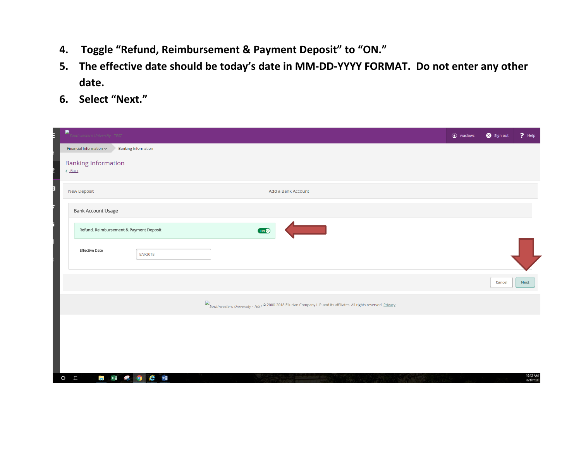- **4. Toggle "Refund, Reimbursement & Payment Deposit" to "ON."**
- **5. The effective date should be today's date in MM-DD-YYYY FORMAT. Do not enter any other date.**
- **6. Select "Next."**

| B,<br>Southwestern University - TEST                                                                               | ● waclawcl ● Sign out | $?$ Help             |
|--------------------------------------------------------------------------------------------------------------------|-----------------------|----------------------|
| Financial Information $\sim$<br><b>Banking Information</b>                                                         |                       |                      |
| <b>Banking Information</b><br>$\left\langle \right\rangle$ Back                                                    |                       |                      |
| New Deposit<br>Add a Bank Account                                                                                  |                       |                      |
| <b>Bank Account Usage</b>                                                                                          |                       |                      |
| <u> Tanzania (</u><br>Refund, Reimbursement & Payment Deposit<br>ON                                                |                       |                      |
| <b>Effective Date</b><br>8/3/2018                                                                                  |                       |                      |
|                                                                                                                    | Cancel                | Next                 |
| Southwestern University - TEST © 2000-2018 Ellucian Company L.P. and its affiliates. All rights reserved. Privacy. |                       |                      |
|                                                                                                                    |                       |                      |
|                                                                                                                    |                       |                      |
|                                                                                                                    |                       |                      |
| <b>SO C VI</b><br>$\blacksquare$ x =<br>$O$ $\Box$                                                                 |                       | 10:12 AM<br>8/3/2018 |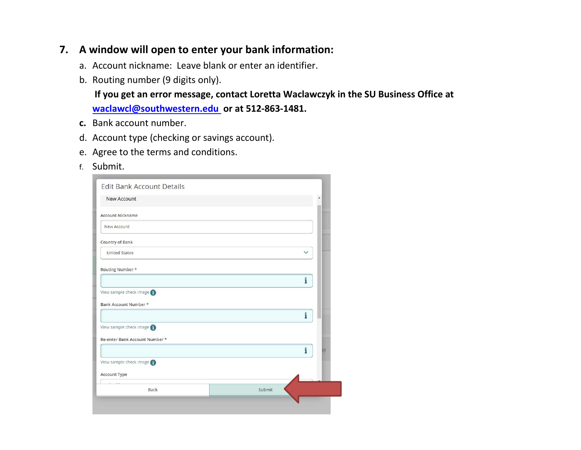## **7. A window will open to enter your bank information:**

- a. Account nickname: Leave blank or enter an identifier.
- b. Routing number (9 digits only).

**If you get an error message, contact Loretta Waclawczyk in the SU Business Office at [waclawcl@southwestern.edu](mailto:waclawcl@southwestern.edu) or at 512-863-1481.** 

- **c.** Bank account number.
- d. Account type (checking or savings account).
- e. Agree to the terms and conditions.
- f. Submit.

| <b>New Account</b>             | ٠ |
|--------------------------------|---|
| <b>Account Nickname</b>        |   |
|                                |   |
| New Account                    |   |
| <b>Country of Bank</b>         |   |
| <b>United States</b>           |   |
| Routing Number *               |   |
|                                | i |
| View sample check image        |   |
| Bank Account Number *          |   |
|                                | i |
|                                |   |
| View sample check image        |   |
| Re-enter Bank Account Number * |   |
|                                | i |
| View sample check image        |   |
| <b>Account Type</b>            |   |
|                                |   |
|                                |   |